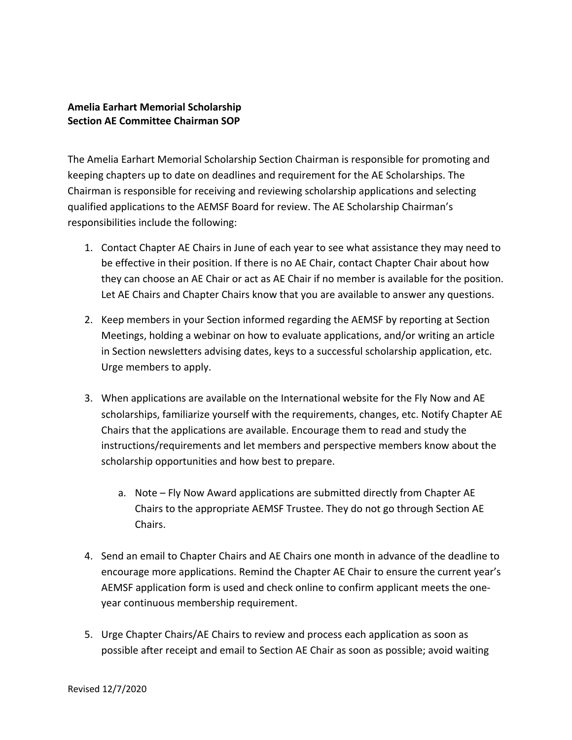## **Amelia Earhart Memorial Scholarship Section AE Committee Chairman SOP**

The Amelia Earhart Memorial Scholarship Section Chairman is responsible for promoting and keeping chapters up to date on deadlines and requirement for the AE Scholarships. The Chairman is responsible for receiving and reviewing scholarship applications and selecting qualified applications to the AEMSF Board for review. The AE Scholarship Chairman's responsibilities include the following:

- 1. Contact Chapter AE Chairs in June of each year to see what assistance they may need to be effective in their position. If there is no AE Chair, contact Chapter Chair about how they can choose an AE Chair or act as AE Chair if no member is available for the position. Let AE Chairs and Chapter Chairs know that you are available to answer any questions.
- 2. Keep members in your Section informed regarding the AEMSF by reporting at Section Meetings, holding a webinar on how to evaluate applications, and/or writing an article in Section newsletters advising dates, keys to a successful scholarship application, etc. Urge members to apply.
- 3. When applications are available on the International website for the Fly Now and AE scholarships, familiarize yourself with the requirements, changes, etc. Notify Chapter AE Chairs that the applications are available. Encourage them to read and study the instructions/requirements and let members and perspective members know about the scholarship opportunities and how best to prepare.
	- a. Note Fly Now Award applications are submitted directly from Chapter AE Chairs to the appropriate AEMSF Trustee. They do not go through Section AE Chairs.
- 4. Send an email to Chapter Chairs and AE Chairs one month in advance of the deadline to encourage more applications. Remind the Chapter AE Chair to ensure the current year's AEMSF application form is used and check online to confirm applicant meets the oneyear continuous membership requirement.
- 5. Urge Chapter Chairs/AE Chairs to review and process each application as soon as possible after receipt and email to Section AE Chair as soon as possible; avoid waiting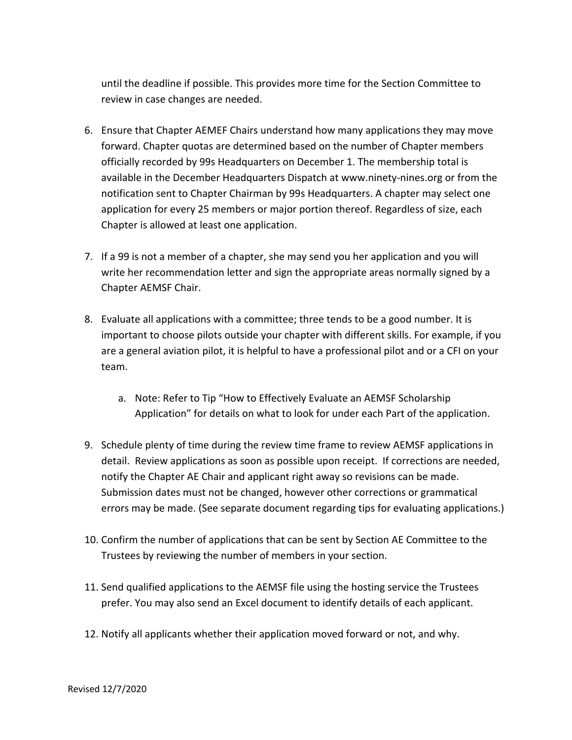until the deadline if possible. This provides more time for the Section Committee to review in case changes are needed.

- 6. Ensure that Chapter AEMEF Chairs understand how many applications they may move forward. Chapter quotas are determined based on the number of Chapter members officially recorded by 99s Headquarters on December 1. The membership total is available in the December Headquarters Dispatch at www.ninety-nines.org or from the notification sent to Chapter Chairman by 99s Headquarters. A chapter may select one application for every 25 members or major portion thereof. Regardless of size, each Chapter is allowed at least one application.
- 7. If a 99 is not a member of a chapter, she may send you her application and you will write her recommendation letter and sign the appropriate areas normally signed by a Chapter AEMSF Chair.
- 8. Evaluate all applications with a committee; three tends to be a good number. It is important to choose pilots outside your chapter with different skills. For example, if you are a general aviation pilot, it is helpful to have a professional pilot and or a CFI on your team.
	- a. Note: Refer to Tip "How to Effectively Evaluate an AEMSF Scholarship Application" for details on what to look for under each Part of the application.
- 9. Schedule plenty of time during the review time frame to review AEMSF applications in detail. Review applications as soon as possible upon receipt. If corrections are needed, notify the Chapter AE Chair and applicant right away so revisions can be made. Submission dates must not be changed, however other corrections or grammatical errors may be made. (See separate document regarding tips for evaluating applications.)
- 10. Confirm the number of applications that can be sent by Section AE Committee to the Trustees by reviewing the number of members in your section.
- 11. Send qualified applications to the AEMSF file using the hosting service the Trustees prefer. You may also send an Excel document to identify details of each applicant.
- 12. Notify all applicants whether their application moved forward or not, and why.